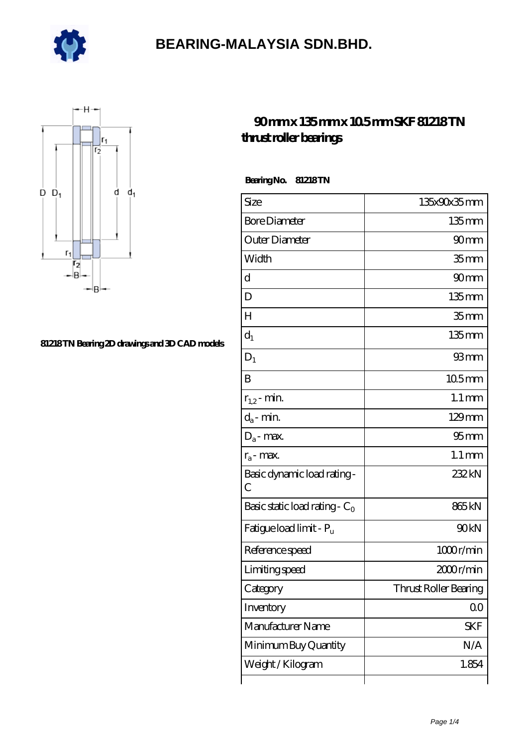



#### **[81218 TN Bearing 2D drawings and 3D CAD models](https://m.e-marc.net/pic-65141632.html)**

### **[90 mm x 135 mm x 10.5 mm SKF 81218 TN](https://m.e-marc.net/skf-81218-tn-bearing/) [thrust roller bearings](https://m.e-marc.net/skf-81218-tn-bearing/)**

 **Bearing No. 81218 TN**

| Size                                         | 135x90x35mm           |
|----------------------------------------------|-----------------------|
| <b>Bore Diameter</b>                         | $135$ mm              |
| Outer Diameter                               | 90 <sub>mm</sub>      |
| Width                                        | 35 <sub>mm</sub>      |
| d                                            | 90 <sub>mm</sub>      |
| D                                            | $135$ mm              |
| Н                                            | 35 <sub>mm</sub>      |
| $d_1$                                        | $135$ mm              |
| $D_1$                                        | 93mm                  |
| B                                            | $105$ <sub>mm</sub>   |
| $r_{1,2}$ - min.                             | $1.1 \,\mathrm{mm}$   |
| $d_a$ - min.                                 | $129$ mm              |
| $D_a$ - max.                                 | 95 <sub>mm</sub>      |
| $r_a$ - max.                                 | $1.1 \,\mathrm{mm}$   |
| Basic dynamic load rating -<br>$\mathcal{C}$ | 232kN                 |
| Basic static load rating - $C_0$             | 865 <sub>kN</sub>     |
| Fatigue load limit - P <sub>u</sub>          | 90kN                  |
| Reference speed                              | 1000r/min             |
| Limiting speed                               | 2000r/min             |
| Category                                     | Thrust Roller Bearing |
| Inventory                                    | 00                    |
| Manufacturer Name                            | SKF                   |
| Minimum Buy Quantity                         | N/A                   |
| Weight/Kilogram                              | 1.854                 |
|                                              |                       |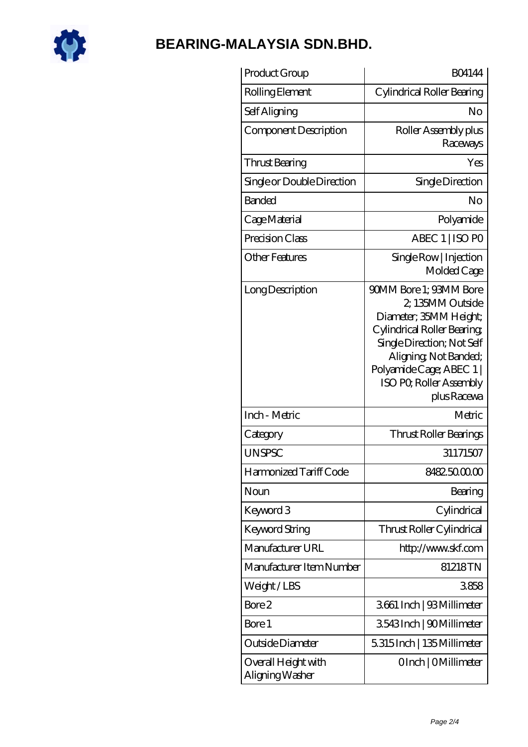

| Product Group                          | <b>BO4144</b>                                                                                                                                                                                                                 |
|----------------------------------------|-------------------------------------------------------------------------------------------------------------------------------------------------------------------------------------------------------------------------------|
| Rolling Element                        | Cylindrical Roller Bearing                                                                                                                                                                                                    |
| Self Aligning                          | No                                                                                                                                                                                                                            |
| Component Description                  | Roller Assembly plus<br>Raceways                                                                                                                                                                                              |
| Thrust Bearing                         | Yes                                                                                                                                                                                                                           |
| Single or Double Direction             | Single Direction                                                                                                                                                                                                              |
| <b>Banded</b>                          | No                                                                                                                                                                                                                            |
| Cage Material                          | Polyamide                                                                                                                                                                                                                     |
| Precision Class                        | ABEC 1   ISO PO                                                                                                                                                                                                               |
| <b>Other Features</b>                  | Single Row   Injection<br>Molded Cage                                                                                                                                                                                         |
| Long Description                       | 90MM Bore 1: 93MM Bore<br>2, 135MM Outside<br>Diameter; 35MM Height;<br>Cylindrical Roller Bearing<br>Single Direction; Not Self<br>Aligning, Not Banded;<br>Polyamide Cage; ABEC 1<br>ISO PO, Roller Assembly<br>plus Racewa |
| Inch - Metric                          | Metric                                                                                                                                                                                                                        |
| Category                               | Thrust Roller Bearings                                                                                                                                                                                                        |
| <b>UNSPSC</b>                          | 31171507                                                                                                                                                                                                                      |
| Harmonized Tariff Code                 | 8482500000                                                                                                                                                                                                                    |
| Noun                                   | Bearing                                                                                                                                                                                                                       |
| Keyword 3                              | Cylindrical                                                                                                                                                                                                                   |
| Keyword String                         | Thrust Roller Cylindrical                                                                                                                                                                                                     |
| Manufacturer URL                       | http://www.skf.com                                                                                                                                                                                                            |
| Manufacturer Item Number               | 81218TN                                                                                                                                                                                                                       |
| Weight/LBS                             | 3858                                                                                                                                                                                                                          |
| Bore 2                                 | 3661 Inch   93 Millimeter                                                                                                                                                                                                     |
| Bore 1                                 | 3543Inch   90Millimeter                                                                                                                                                                                                       |
| Outside Diameter                       | 5315Inch   135Millimeter                                                                                                                                                                                                      |
| Overall Height with<br>Aligning Washer | OInch   OMillimeter                                                                                                                                                                                                           |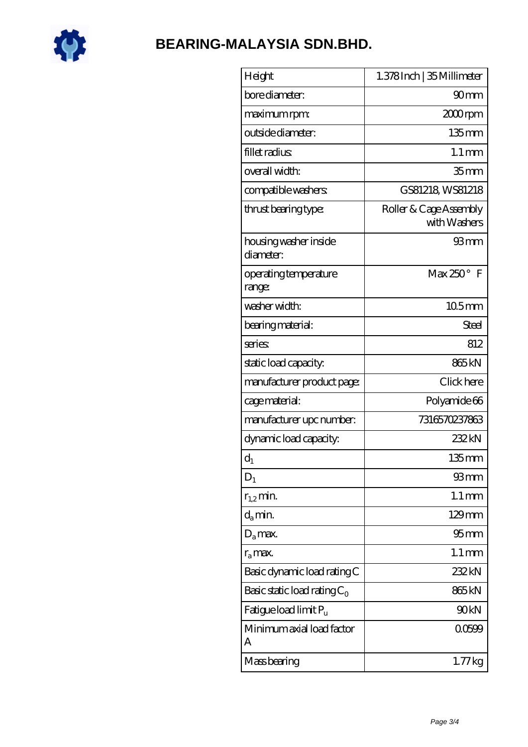

| Height                             | 1.378 Inch   35 Millimeter             |
|------------------------------------|----------------------------------------|
| bore diameter:                     | 90 <sub>mm</sub>                       |
| maximum rpm:                       | 2000rpm                                |
| outside diameter:                  | $135 \text{mm}$                        |
| fillet radius                      | $1.1 \,\mathrm{mm}$                    |
| overall width:                     | 35 <sub>mm</sub>                       |
| compatible washers:                | GS81218 WS81218                        |
| thrust bearing type:               | Roller & Cage Assembly<br>with Washers |
| housing washer inside<br>diameter: | 93mm                                   |
| operating temperature<br>range:    | $Max 250°$ F                           |
| washer width:                      | 105mm                                  |
| bearing material:                  | Steel                                  |
| series                             | 812                                    |
| static load capacity.              | 865kN                                  |
| manufacturer product page:         | Click here                             |
| cage material:                     | Polyamide 66                           |
| manufacturer upc number:           | 7316570237863                          |
| dynamic load capacity:             | 232kN                                  |
| $d_1$                              | $135$ mm                               |
| $D_1$                              | 93mm                                   |
| $r_{1,2}$ min.                     | $1.1 \,\mathrm{mm}$                    |
| $d_{a}$ min.                       | 129mm                                  |
| $D_a$ max.                         | $95 \text{mm}$                         |
| $r_a$ max.                         | $1.1 \,\mathrm{mm}$                    |
| Basic dynamic load rating C        | 232kN                                  |
| Basic static load rating $C_0$     | 865kN                                  |
| Fatigue load limit Pu              | 90kN                                   |
| Minimum axial load factor<br>А     | 00599                                  |
| Mass bearing                       | $1.77$ kg                              |